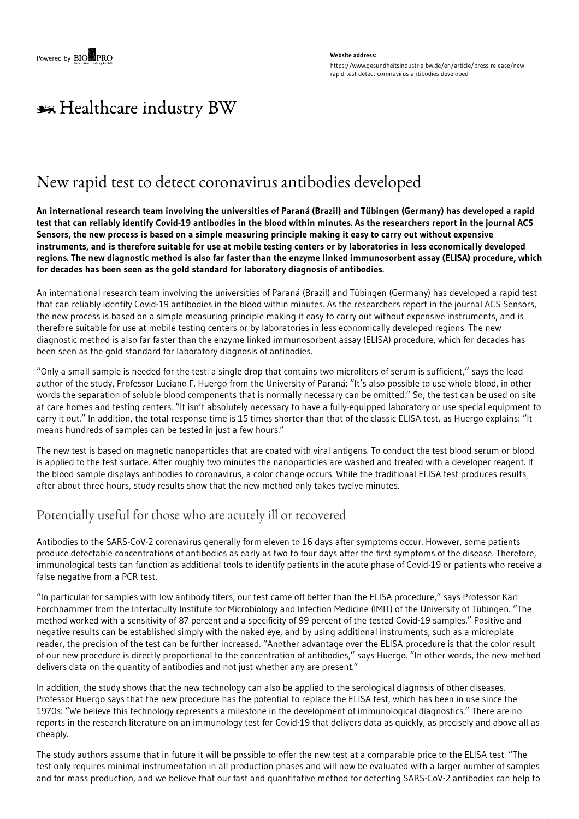# \*\* Healthcare industry BW

## New rapid test to detect coronavirus antibodies developed

An international research team involving the universities of Paraná (Brazil) and Tübingen (Germany) has developed a rapid test that can reliably identify Covid-19 antibodies in the blood within minutes. As the researchers report in the journal ACS Sensors, the new process is based on a simple measuring principle making it easy to carry out without expensive instruments, and is therefore suitable for use at mobile testing centers or by laboratories in less economically developed regions. The new diagnostic method is also far faster than the enzyme linked immunosorbent assay (ELISA) procedure, which **for decades has been seen as the gold standard for laboratory diagnosis of antibodies.**

An international research team involving the universities of Paraná (Brazil) and Tübingen (Germany) has developed a rapid test that can reliably identify Covid-19 antibodies in the blood within minutes. As the researchers report in the journal ACS Sensors, the new process is based on a simple measuring principle making it easy to carry out without expensive instruments, and is therefore suitable for use at mobile testing centers or by laboratories in less economically developed regions. The new diagnostic method is also far faster than the enzyme linked immunosorbent assay (ELISA) procedure, which for decades has been seen as the gold standard for laboratory diagnosis of antibodies.

"Only a small sample is needed for the test: a single drop that contains two microliters of serum is sufficient," says the lead author of the study, Professor Luciano F. Huergo from the University of Paraná: "It's also possible to use whole blood, in other words the separation of soluble blood components that is normally necessary can be omitted." So, the test can be used on site at care homes and testing centers. "It isn't absolutely necessary to have a fully-equipped laboratory or use special equipment to carry it out." In addition, the total response time is 15 times shorter than that of the classic ELISA test, as Huergo explains: "It means hundreds of samples can be tested in just a few hours."

The new test is based on magnetic nanoparticles that are coated with viral antigens. To conduct the test blood serum or blood is applied to the test surface. After roughly two minutes the nanoparticles are washed and treated with a developer reagent. If the blood sample displays antibodies to coronavirus, a color change occurs. While the traditional ELISA test produces results after about three hours, study results show that the new method only takes twelve minutes.

### Potentially useful for those who are acutely ill or recovered

Antibodies to the SARS-CoV-2 coronavirus generally form eleven to 16 days after symptoms occur. However, some patients produce detectable concentrations of antibodies as early as two to four days after the first symptoms of the disease. Therefore, immunological tests can function as additional tools to identify patients in the acute phase of Covid-19 or patients who receive a false negative from a PCR test.

"In particular for samples with low antibody titers, our test came off better than the ELISA procedure," says Professor Karl Forchhammer from the Interfaculty Institute for Microbiology and Infection Medicine (IMIT) of the University of Tübingen. "The method worked with a sensitivity of 87 percent and a specificity of 99 percent of the tested Covid-19 samples." Positive and negative results can be established simply with the naked eye, and by using additional instruments, such as a microplate reader, the precision of the test can be further increased. "Another advantage over the ELISA procedure is that the color result of our new procedure is directly proportional to the concentration of antibodies," says Huergo. "In other words, the new method delivers data on the quantity of antibodies and not just whether any are present."

In addition, the study shows that the new technology can also be applied to the serological diagnosis of other diseases. Professor Huergo says that the new procedure has the potential to replace the ELISA test, which has been in use since the 1970s: "We believe this technology represents a milestone in the development of immunological diagnostics." There are no reports in the research literature on an immunology test for Covid-19 that delivers data as quickly, as precisely and above all as cheaply.

The study authors assume that in future it will be possible to offer the new test at a comparable price to the ELISA test. "The test only requires minimal instrumentation in all production phases and will now be evaluated with a larger number of samples and for mass production, and we believe that our fast and quantitative method for detecting SARS-CoV-2 antibodies can help to